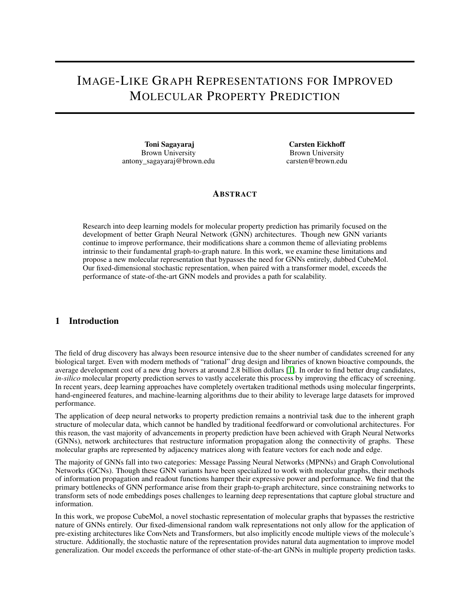# IMAGE-LIKE GRAPH REPRESENTATIONS FOR IMPROVED MOLECULAR PROPERTY PREDICTION

Toni Sagayaraj Brown University antony\_sagayaraj@brown.edu

Carsten Eickhoff Brown University carsten@brown.edu

#### **ABSTRACT**

Research into deep learning models for molecular property prediction has primarily focused on the development of better Graph Neural Network (GNN) architectures. Though new GNN variants continue to improve performance, their modifications share a common theme of alleviating problems intrinsic to their fundamental graph-to-graph nature. In this work, we examine these limitations and propose a new molecular representation that bypasses the need for GNNs entirely, dubbed CubeMol. Our fixed-dimensional stochastic representation, when paired with a transformer model, exceeds the performance of state-of-the-art GNN models and provides a path for scalability.

# 1 Introduction

The field of drug discovery has always been resource intensive due to the sheer number of candidates screened for any biological target. Even with modern methods of "rational" drug design and libraries of known bioactive compounds, the average development cost of a new drug hovers at around 2.8 billion dollars [\[1\]](#page-4-0). In order to find better drug candidates, *in-silico* molecular property prediction serves to vastly accelerate this process by improving the efficacy of screening. In recent years, deep learning approaches have completely overtaken traditional methods using molecular fingerprints, hand-engineered features, and machine-learning algorithms due to their ability to leverage large datasets for improved performance.

The application of deep neural networks to property prediction remains a nontrivial task due to the inherent graph structure of molecular data, which cannot be handled by traditional feedforward or convolutional architectures. For this reason, the vast majority of advancements in property prediction have been achieved with Graph Neural Networks (GNNs), network architectures that restructure information propagation along the connectivity of graphs. These molecular graphs are represented by adjacency matrices along with feature vectors for each node and edge.

The majority of GNNs fall into two categories: Message Passing Neural Networks (MPNNs) and Graph Convolutional Networks (GCNs). Though these GNN variants have been specialized to work with molecular graphs, their methods of information propagation and readout functions hamper their expressive power and performance. We find that the primary bottlenecks of GNN performance arise from their graph-to-graph architecture, since constraining networks to transform sets of node embeddings poses challenges to learning deep representations that capture global structure and information.

In this work, we propose CubeMol, a novel stochastic representation of molecular graphs that bypasses the restrictive nature of GNNs entirely. Our fixed-dimensional random walk representations not only allow for the application of pre-existing architectures like ConvNets and Transformers, but also implicitly encode multiple views of the molecule's structure. Additionally, the stochastic nature of the representation provides natural data augmentation to improve model generalization. Our model exceeds the performance of other state-of-the-art GNNs in multiple property prediction tasks.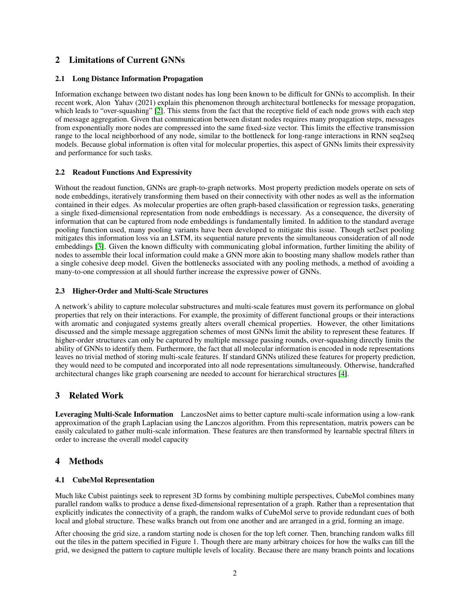# 2 Limitations of Current GNNs

#### 2.1 Long Distance Information Propagation

Information exchange between two distant nodes has long been known to be difficult for GNNs to accomplish. In their recent work, Alon Yahav (2021) explain this phenomenon through architectural bottlenecks for message propagation, which leads to "over-squashing" [\[2\]](#page-4-1). This stems from the fact that the receptive field of each node grows with each step of message aggregation. Given that communication between distant nodes requires many propagation steps, messages from exponentially more nodes are compressed into the same fixed-size vector. This limits the effective transmission range to the local neighborhood of any node, similar to the bottleneck for long-range interactions in RNN seq2seq models. Because global information is often vital for molecular properties, this aspect of GNNs limits their expressivity and performance for such tasks.

#### 2.2 Readout Functions And Expressivity

Without the readout function, GNNs are graph-to-graph networks. Most property prediction models operate on sets of node embeddings, iteratively transforming them based on their connectivity with other nodes as well as the information contained in their edges. As molecular properties are often graph-based classification or regression tasks, generating a single fixed-dimensional representation from node embeddings is necessary. As a consequence, the diversity of information that can be captured from node embeddings is fundamentally limited. In addition to the standard average pooling function used, many pooling variants have been developed to mitigate this issue. Though set2set pooling mitigates this information loss via an LSTM, its sequential nature prevents the simultaneous consideration of all node embeddings [\[3\]](#page-4-2). Given the known difficulty with communicating global information, further limiting the ability of nodes to assemble their local information could make a GNN more akin to boosting many shallow models rather than a single cohesive deep model. Given the bottlenecks associated with any pooling methods, a method of avoiding a many-to-one compression at all should further increase the expressive power of GNNs.

#### 2.3 Higher-Order and Multi-Scale Structures

A network's ability to capture molecular substructures and multi-scale features must govern its performance on global properties that rely on their interactions. For example, the proximity of different functional groups or their interactions with aromatic and conjugated systems greatly alters overall chemical properties. However, the other limitations discussed and the simple message aggregation schemes of most GNNs limit the ability to represent these features. If higher-order structures can only be captured by multiple message passing rounds, over-squashing directly limits the ability of GNNs to identify them. Furthermore, the fact that all molecular information is encoded in node representations leaves no trivial method of storing multi-scale features. If standard GNNs utilized these features for property prediction, they would need to be computed and incorporated into all node representations simultaneously. Otherwise, handcrafted architectural changes like graph coarsening are needed to account for hierarchical structures [\[4\]](#page-4-3).

# 3 Related Work

Leveraging Multi-Scale Information LanczosNet aims to better capture multi-scale information using a low-rank approximation of the graph Laplacian using the Lanczos algorithm. From this representation, matrix powers can be easily calculated to gather multi-scale information. These features are then transformed by learnable spectral filters in order to increase the overall model capacity

# 4 Methods

#### 4.1 CubeMol Representation

Much like Cubist paintings seek to represent 3D forms by combining multiple perspectives, CubeMol combines many parallel random walks to produce a dense fixed-dimensional representation of a graph. Rather than a representation that explicitly indicates the connectivity of a graph, the random walks of CubeMol serve to provide redundant cues of both local and global structure. These walks branch out from one another and are arranged in a grid, forming an image.

After choosing the grid size, a random starting node is chosen for the top left corner. Then, branching random walks fill out the tiles in the pattern specified in Figure 1. Though there are many arbitrary choices for how the walks can fill the grid, we designed the pattern to capture multiple levels of locality. Because there are many branch points and locations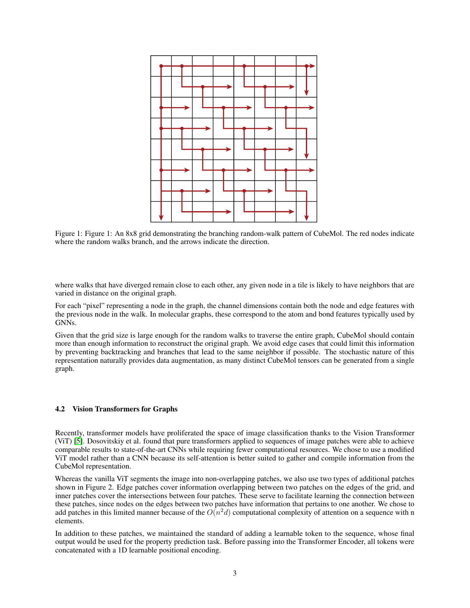

Figure 1: Figure 1: An 8x8 grid demonstrating the branching random-walk pattern of CubeMol. The red nodes indicate where the random walks branch, and the arrows indicate the direction.

where walks that have diverged remain close to each other, any given node in a tile is likely to have neighbors that are varied in distance on the original graph.

For each "pixel" representing a node in the graph, the channel dimensions contain both the node and edge features with the previous node in the walk. In molecular graphs, these correspond to the atom and bond features typically used by GNNs.

Given that the grid size is large enough for the random walks to traverse the entire graph, CubeMol should contain more than enough information to reconstruct the original graph. We avoid edge cases that could limit this information by preventing backtracking and branches that lead to the same neighbor if possible. The stochastic nature of this representation naturally provides data augmentation, as many distinct CubeMol tensors can be generated from a single graph.

#### 4.2 Vision Transformers for Graphs

Recently, transformer models have proliferated the space of image classification thanks to the Vision Transformer (ViT) [\[5\]](#page-4-4). Dosovitskiy et al. found that pure transformers applied to sequences of image patches were able to achieve comparable results to state-of-the-art CNNs while requiring fewer computational resources. We chose to use a modified ViT model rather than a CNN because its self-attention is better suited to gather and compile information from the CubeMol representation.

Whereas the vanilla ViT segments the image into non-overlapping patches, we also use two types of additional patches shown in Figure 2. Edge patches cover information overlapping between two patches on the edges of the grid, and inner patches cover the intersections between four patches. These serve to facilitate learning the connection between these patches, since nodes on the edges between two patches have information that pertains to one another. We chose to add patches in this limited manner because of the  $O(n^2d)$  computational complexity of attention on a sequence with n elements.

In addition to these patches, we maintained the standard of adding a learnable token to the sequence, whose final output would be used for the property prediction task. Before passing into the Transformer Encoder, all tokens were concatenated with a 1D learnable positional encoding.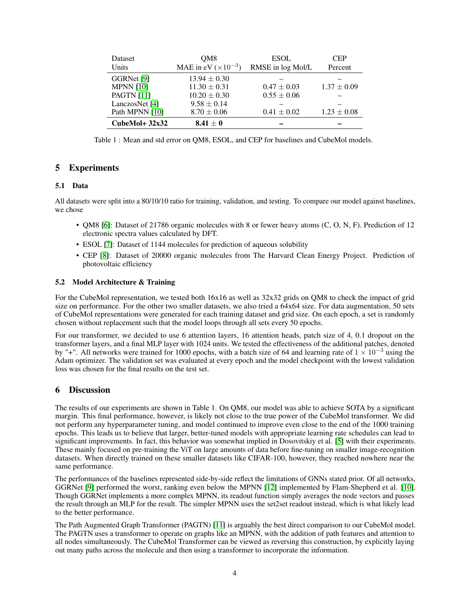| Dataset<br>Units  | OM <sub>8</sub><br>MAE in eV $(\times 10^{-3})$ | <b>ESOL</b><br>RMSE in log Mol/L | <b>CEP</b><br>Percent |
|-------------------|-------------------------------------------------|----------------------------------|-----------------------|
| GGRNet [9]        | $13.94 \pm 0.30$                                |                                  |                       |
| <b>MPNN</b> [10]  | $11.30 \pm 0.31$                                | $0.47 \pm 0.03$                  | $1.37 \pm 0.09$       |
| <b>PAGTN</b> [11] | $10.20 \pm 0.30$                                | $0.55 \pm 0.06$                  |                       |
| LanczosNet [4]    | $9.58 \pm 0.14$                                 |                                  |                       |
| Path MPNN [10]    | $8.70 \pm 0.06$                                 | $0.41 \pm 0.02$                  | $1.23 \pm 0.08$       |
| $CubeMol+32x32$   | $8.41 \pm 0$                                    |                                  |                       |

Table 1 : Mean and std error on QM8, ESOL, and CEP for baselines and CubeMol models.

## 5 Experiments

#### 5.1 Data

All datasets were split into a 80/10/10 ratio for training, validation, and testing. To compare our model against baselines, we chose

- QM8 [\[6\]](#page-4-5): Dataset of 21786 organic molecules with 8 or fewer heavy atoms (C, O, N, F). Prediction of 12 electronic spectra values calculated by DFT.
- ESOL [\[7\]](#page-4-6): Dataset of 1144 molecules for prediction of aqueous solubility
- CEP [\[8\]](#page-4-7): Dataset of 20000 organic molecules from The Harvard Clean Energy Project. Prediction of photovoltaic efficiency

#### 5.2 Model Architecture & Training

For the CubeMol representation, we tested both 16x16 as well as 32x32 grids on QM8 to check the impact of grid size on performance. For the other two smaller datasets, we also tried a 64x64 size. For data augmentation, 50 sets of CubeMol representations were generated for each training dataset and grid size. On each epoch, a set is randomly chosen without replacement such that the model loops through all sets every 50 epochs.

For our transformer, we decided to use 6 attention layers, 16 attention heads, patch size of 4, 0.1 dropout on the transformer layers, and a final MLP layer with 1024 units. We tested the effectiveness of the additional patches, denoted by "+". All networks were trained for 1000 epochs, with a batch size of 64 and learning rate of  $1 \times 10^{-3}$  using the Adam optimizer. The validation set was evaluated at every epoch and the model checkpoint with the lowest validation loss was chosen for the final results on the test set.

### 6 Discussion

The results of our experiments are shown in Table 1. On QM8, our model was able to achieve SOTA by a significant margin. This final performance, however, is likely not close to the true power of the CubeMol transformer. We did not perform any hyperparameter tuning, and model continued to improve even close to the end of the 1000 training epochs. This leads us to believe that larger, better-tuned models with appropriate learning rate schedules can lead to significant improvements. In fact, this behavior was somewhat implied in Dosovitskiy et al. [\[5\]](#page-4-4) with their experiments. These mainly focused on pre-training the ViT on large amounts of data before fine-tuning on smaller image-recognition datasets. When directly trained on these smaller datasets like CIFAR-100, however, they reached nowhere near the same performance.

The performances of the baselines represented side-by-side reflect the limitations of GNNs stated prior. Of all networks, GGRNet [\[9\]](#page-5-0) performed the worst, ranking even below the MPNN [\[12\]](#page-5-3) implemented by Flam-Shepherd et al. [\[10\]](#page-5-1). Though GGRNet implements a more complex MPNN, its readout function simply averages the node vectors and passes the result through an MLP for the result. The simpler MPNN uses the set2set readout instead, which is what likely lead to the better performance.

The Path Augmented Graph Transformer (PAGTN) [\[11\]](#page-5-2) is arguably the best direct comparison to our CubeMol model. The PAGTN uses a transformer to operate on graphs like an MPNN, with the addition of path features and attention to all nodes simultaneously. The CubeMol Transformer can be viewed as reversing this construction, by explicitly laying out many paths across the molecule and then using a transformer to incorporate the information.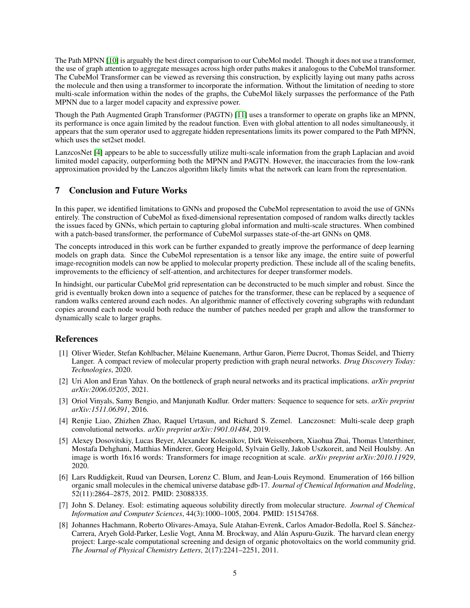The Path MPNN [\[10\]](#page-5-1) is arguably the best direct comparison to our CubeMol model. Though it does not use a transformer, the use of graph attention to aggregate messages across high order paths makes it analogous to the CubeMol transformer. The CubeMol Transformer can be viewed as reversing this construction, by explicitly laying out many paths across the molecule and then using a transformer to incorporate the information. Without the limitation of needing to store multi-scale information within the nodes of the graphs, the CubeMol likely surpasses the performance of the Path MPNN due to a larger model capacity and expressive power.

Though the Path Augmented Graph Transformer (PAGTN) [\[11\]](#page-5-2) uses a transformer to operate on graphs like an MPNN, its performance is once again limited by the readout function. Even with global attention to all nodes simultaneously, it appears that the sum operator used to aggregate hidden representations limits its power compared to the Path MPNN, which uses the set2set model.

LanzcosNet [\[4\]](#page-4-3) appears to be able to successfully utilize multi-scale information from the graph Laplacian and avoid limited model capacity, outperforming both the MPNN and PAGTN. However, the inaccuracies from the low-rank approximation provided by the Lanczos algorithm likely limits what the network can learn from the representation.

# 7 Conclusion and Future Works

In this paper, we identified limitations to GNNs and proposed the CubeMol representation to avoid the use of GNNs entirely. The construction of CubeMol as fixed-dimensional representation composed of random walks directly tackles the issues faced by GNNs, which pertain to capturing global information and multi-scale structures. When combined with a patch-based transformer, the performance of CubeMol surpasses state-of-the-art GNNs on QM8.

The concepts introduced in this work can be further expanded to greatly improve the performance of deep learning models on graph data. Since the CubeMol representation is a tensor like any image, the entire suite of powerful image-recognition models can now be applied to molecular property prediction. These include all of the scaling benefits, improvements to the efficiency of self-attention, and architectures for deeper transformer models.

In hindsight, our particular CubeMol grid representation can be deconstructed to be much simpler and robust. Since the grid is eventually broken down into a sequence of patches for the transformer, these can be replaced by a sequence of random walks centered around each nodes. An algorithmic manner of effectively covering subgraphs with redundant copies around each node would both reduce the number of patches needed per graph and allow the transformer to dynamically scale to larger graphs.

# References

- <span id="page-4-0"></span>[1] Oliver Wieder, Stefan Kohlbacher, Mélaine Kuenemann, Arthur Garon, Pierre Ducrot, Thomas Seidel, and Thierry Langer. A compact review of molecular property prediction with graph neural networks. *Drug Discovery Today: Technologies*, 2020.
- <span id="page-4-1"></span>[2] Uri Alon and Eran Yahav. On the bottleneck of graph neural networks and its practical implications. *arXiv preprint arXiv:2006.05205*, 2021.
- <span id="page-4-2"></span>[3] Oriol Vinyals, Samy Bengio, and Manjunath Kudlur. Order matters: Sequence to sequence for sets. *arXiv preprint arXiv:1511.06391*, 2016.
- <span id="page-4-3"></span>[4] Renjie Liao, Zhizhen Zhao, Raquel Urtasun, and Richard S. Zemel. Lanczosnet: Multi-scale deep graph convolutional networks. *arXiv preprint arXiv:1901.01484*, 2019.
- <span id="page-4-4"></span>[5] Alexey Dosovitskiy, Lucas Beyer, Alexander Kolesnikov, Dirk Weissenborn, Xiaohua Zhai, Thomas Unterthiner, Mostafa Dehghani, Matthias Minderer, Georg Heigold, Sylvain Gelly, Jakob Uszkoreit, and Neil Houlsby. An image is worth 16x16 words: Transformers for image recognition at scale. *arXiv preprint arXiv:2010.11929*, 2020.
- <span id="page-4-5"></span>[6] Lars Ruddigkeit, Ruud van Deursen, Lorenz C. Blum, and Jean-Louis Reymond. Enumeration of 166 billion organic small molecules in the chemical universe database gdb-17. *Journal of Chemical Information and Modeling*, 52(11):2864–2875, 2012. PMID: 23088335.
- <span id="page-4-6"></span>[7] John S. Delaney. Esol: estimating aqueous solubility directly from molecular structure. *Journal of Chemical Information and Computer Sciences*, 44(3):1000–1005, 2004. PMID: 15154768.
- <span id="page-4-7"></span>[8] Johannes Hachmann, Roberto Olivares-Amaya, Sule Atahan-Evrenk, Carlos Amador-Bedolla, Roel S. Sánchez-Carrera, Aryeh Gold-Parker, Leslie Vogt, Anna M. Brockway, and Alán Aspuru-Guzik. The harvard clean energy project: Large-scale computational screening and design of organic photovoltaics on the world community grid. *The Journal of Physical Chemistry Letters*, 2(17):2241–2251, 2011.